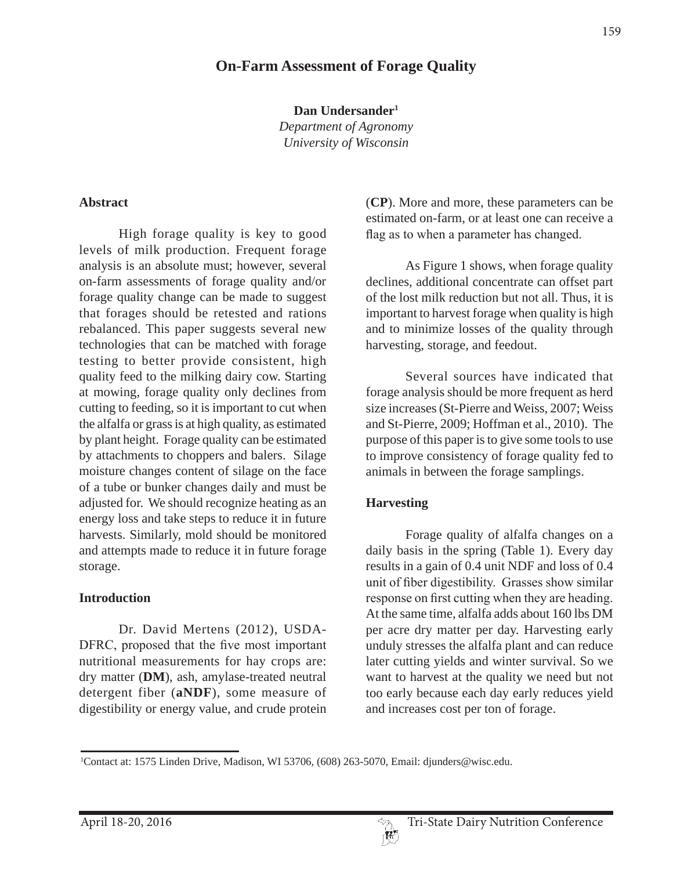# **On-Farm Assessment of Forage Quality**

**Dan Undersander1**

*Department of Agronomy University of Wisconsin*

#### **Abstract**

High forage quality is key to good levels of milk production. Frequent forage analysis is an absolute must; however, several on-farm assessments of forage quality and/or forage quality change can be made to suggest that forages should be retested and rations rebalanced. This paper suggests several new technologies that can be matched with forage testing to better provide consistent, high quality feed to the milking dairy cow. Starting at mowing, forage quality only declines from cutting to feeding, so it is important to cut when the alfalfa or grass is at high quality, as estimated by plant height. Forage quality can be estimated by attachments to choppers and balers. Silage moisture changes content of silage on the face of a tube or bunker changes daily and must be adjusted for. We should recognize heating as an energy loss and take steps to reduce it in future harvests. Similarly, mold should be monitored and attempts made to reduce it in future forage storage.

#### **Introduction**

Dr. David Mertens (2012), USDA- DFRC, proposed that the five most important nutritional measurements for hay crops are: dry matter (**DM**), ash, amylase-treated neutral detergent fiber (**aNDF**), some measure of digestibility or energy value, and crude protein (**CP**). More and more, these parameters can be estimated on-farm, or at least one can receive a flag as to when a parameter has changed.

As Figure 1 shows, when forage quality declines, additional concentrate can offset part of the lost milk reduction but not all. Thus, it is important to harvest forage when quality is high and to minimize losses of the quality through harvesting, storage, and feedout.

Several sources have indicated that forage analysis should be more frequent as herd size increases (St-Pierre and Weiss, 2007; Weiss and St-Pierre, 2009; Hoffman et al., 2010). The purpose of this paper is to give some tools to use to improve consistency of forage quality fed to animals in between the forage samplings.

#### **Harvesting**

Forage quality of alfalfa changes on a daily basis in the spring (Table 1). Every day results in a gain of 0.4 unit NDF and loss of 0.4 unit of fiber digestibility. Grasses show similar response on first cutting when they are heading. At the same time, alfalfa adds about 160 lbs DM per acre dry matter per day. Harvesting early unduly stresses the alfalfa plant and can reduce later cutting yields and winter survival. So we want to harvest at the quality we need but not too early because each day early reduces yield and increases cost per ton of forage.

<sup>1</sup> Contact at: 1575 Linden Drive, Madison, WI 53706, (608) 263-5070, Email: djunders@wisc.edu.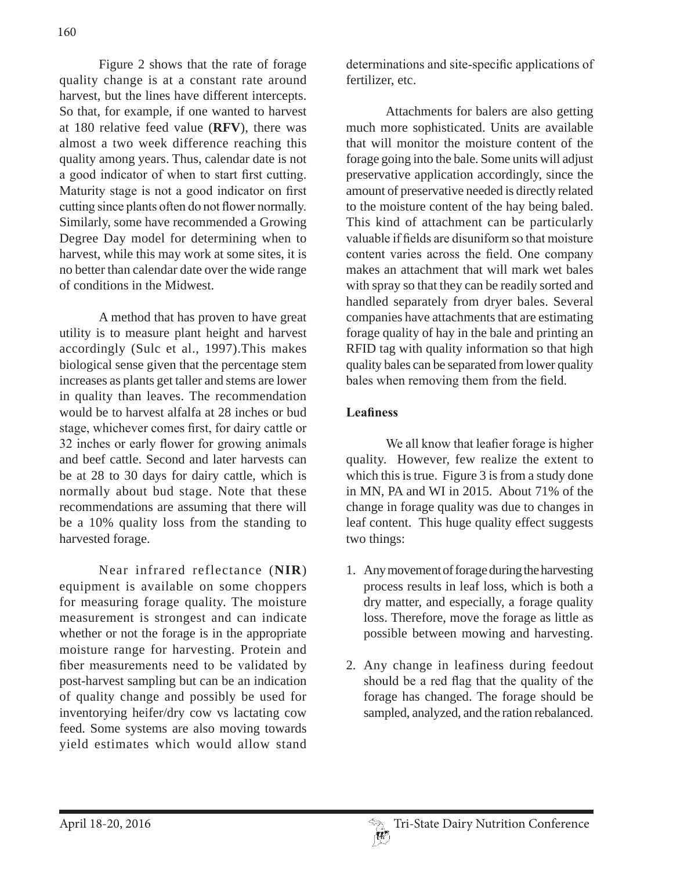Figure 2 shows that the rate of forage quality change is at a constant rate around harvest, but the lines have different intercepts. So that, for example, if one wanted to harvest at 180 relative feed value (**RFV**), there was almost a two week difference reaching this quality among years. Thus, calendar date is not a good indicator of when to start first cutting. Maturity stage is not a good indicator on first cutting since plants often do not flower normally. Similarly, some have recommended a Growing Degree Day model for determining when to harvest, while this may work at some sites, it is no better than calendar date over the wide range of conditions in the Midwest.

A method that has proven to have great utility is to measure plant height and harvest accordingly (Sulc et al., 1997).This makes biological sense given that the percentage stem increases as plants get taller and stems are lower in quality than leaves. The recommendation would be to harvest alfalfa at 28 inches or bud stage, whichever comes first, for dairy cattle or 32 inches or early flower for growing animals and beef cattle. Second and later harvests can be at 28 to 30 days for dairy cattle, which is normally about bud stage. Note that these recommendations are assuming that there will be a 10% quality loss from the standing to harvested forage.

Near infrared reflectance (**NIR**) equipment is available on some choppers for measuring forage quality. The moisture measurement is strongest and can indicate whether or not the forage is in the appropriate moisture range for harvesting. Protein and fiber measurements need to be validated by post-harvest sampling but can be an indication of quality change and possibly be used for inventorying heifer/dry cow vs lactating cow feed. Some systems are also moving towards yield estimates which would allow stand

determinations and site-specific applications of fertilizer, etc.

Attachments for balers are also getting much more sophisticated. Units are available that will monitor the moisture content of the forage going into the bale. Some units will adjust preservative application accordingly, since the amount of preservative needed is directly related to the moisture content of the hay being baled. This kind of attachment can be particularly valuable if fields are disuniform so that moisture content varies across the field. One company makes an attachment that will mark wet bales with spray so that they can be readily sorted and handled separately from dryer bales. Several companies have attachments that are estimating forage quality of hay in the bale and printing an RFID tag with quality information so that high quality bales can be separated from lower quality bales when removing them from the field.

### **Leafiness**

We all know that leafier forage is higher quality. However, few realize the extent to which this is true. Figure 3 is from a study done in MN, PA and WI in 2015. About 71% of the change in forage quality was due to changes in leaf content. This huge quality effect suggests two things:

- 1. Any movement of forage during the harvesting process results in leaf loss, which is both a dry matter, and especially, a forage quality loss. Therefore, move the forage as little as possible between mowing and harvesting.
- 2. Any change in leafiness during feedout should be a red flag that the quality of the forage has changed. The forage should be sampled, analyzed, and the ration rebalanced.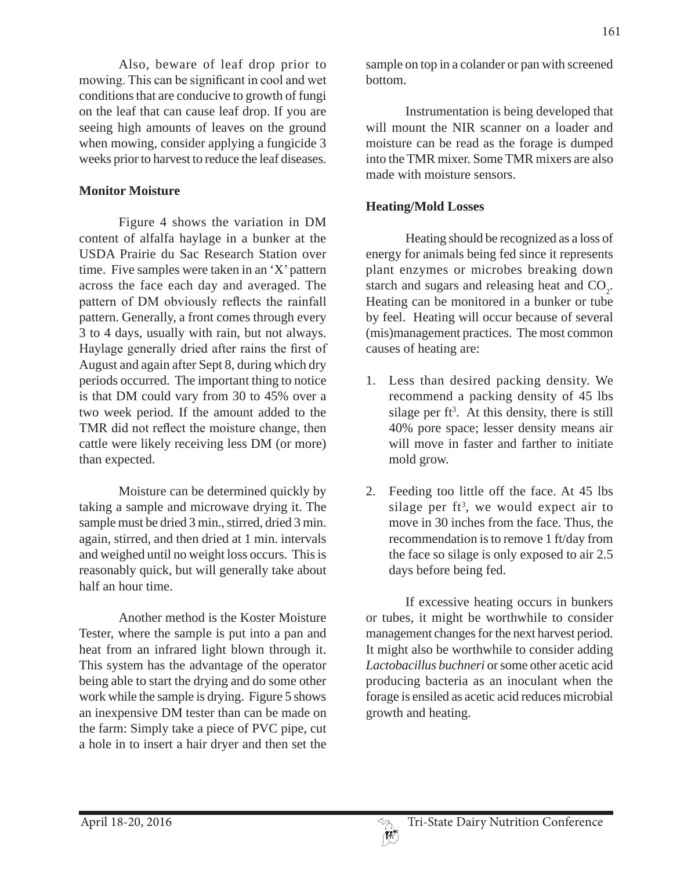Also, beware of leaf drop prior to mowing. This can be significant in cool and wet conditions that are conducive to growth of fungi on the leaf that can cause leaf drop. If you are seeing high amounts of leaves on the ground when mowing, consider applying a fungicide 3 weeks prior to harvest to reduce the leaf diseases.

#### **Monitor Moisture**

Figure 4 shows the variation in DM content of alfalfa haylage in a bunker at the USDA Prairie du Sac Research Station over time. Five samples were taken in an 'X' pattern across the face each day and averaged. The pattern of DM obviously reflects the rainfall pattern. Generally, a front comes through every 3 to 4 days, usually with rain, but not always. Haylage generally dried after rains the first of August and again after Sept 8, during which dry periods occurred. The important thing to notice is that DM could vary from 30 to 45% over a two week period. If the amount added to the TMR did not reflect the moisture change, then cattle were likely receiving less DM (or more) than expected.

Moisture can be determined quickly by taking a sample and microwave drying it. The sample must be dried 3 min., stirred, dried 3 min. again, stirred, and then dried at 1 min. intervals and weighed until no weight loss occurs. This is reasonably quick, but will generally take about half an hour time.

Another method is the Koster Moisture Tester, where the sample is put into a pan and heat from an infrared light blown through it. This system has the advantage of the operator being able to start the drying and do some other work while the sample is drying. Figure 5 shows an inexpensive DM tester than can be made on the farm: Simply take a piece of PVC pipe, cut a hole in to insert a hair dryer and then set the sample on top in a colander or pan with screened bottom.

Instrumentation is being developed that will mount the NIR scanner on a loader and moisture can be read as the forage is dumped into the TMR mixer. Some TMR mixers are also made with moisture sensors.

### **Heating/Mold Losses**

Heating should be recognized as a loss of energy for animals being fed since it represents plant enzymes or microbes breaking down starch and sugars and releasing heat and  $CO<sub>2</sub>$ . Heating can be monitored in a bunker or tube by feel. Heating will occur because of several (mis)management practices. The most common causes of heating are:

- 1. Less than desired packing density. We recommend a packing density of 45 lbs silage per  $ft^3$ . At this density, there is still 40% pore space; lesser density means air will move in faster and farther to initiate mold grow.
- 2. Feeding too little off the face. At 45 lbs silage per  $ft^3$ , we would expect air to move in 30 inches from the face. Thus, the recommendation is to remove 1 ft/day from the face so silage is only exposed to air 2.5 days before being fed.

If excessive heating occurs in bunkers or tubes, it might be worthwhile to consider management changes for the next harvest period. It might also be worthwhile to consider adding *Lactobacillus buchneri* or some other acetic acid producing bacteria as an inoculant when the forage is ensiled as acetic acid reduces microbial growth and heating.

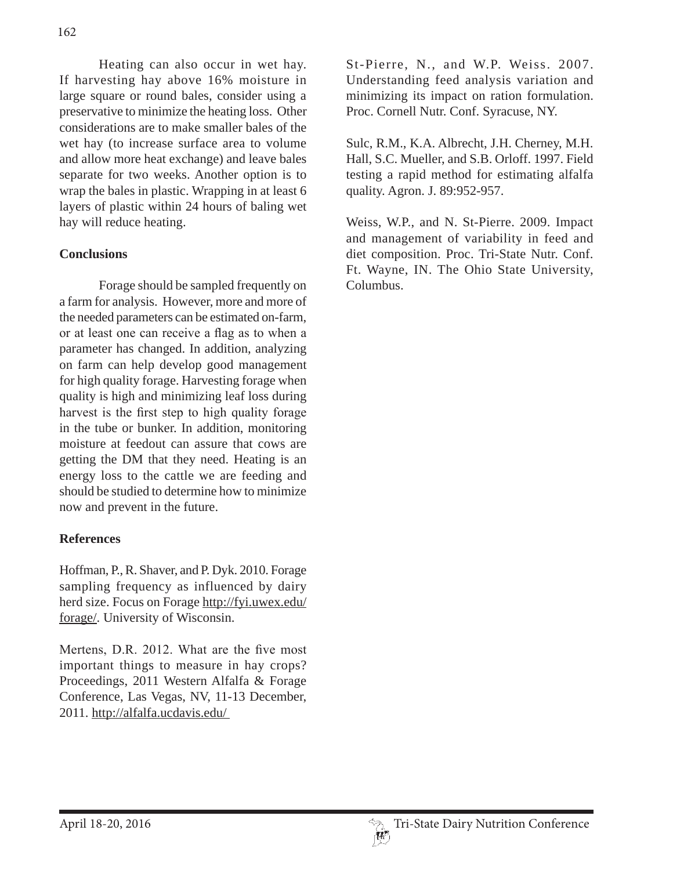Heating can also occur in wet hay. If harvesting hay above 16% moisture in large square or round bales, consider using a preservative to minimize the heating loss. Other considerations are to make smaller bales of the wet hay (to increase surface area to volume and allow more heat exchange) and leave bales separate for two weeks. Another option is to wrap the bales in plastic. Wrapping in at least 6 layers of plastic within 24 hours of baling wet hay will reduce heating.

### **Conclusions**

Forage should be sampled frequently on a farm for analysis. However, more and more of the needed parameters can be estimated on-farm, or at least one can receive a flag as to when a parameter has changed. In addition, analyzing on farm can help develop good management for high quality forage. Harvesting forage when quality is high and minimizing leaf loss during harvest is the first step to high quality forage in the tube or bunker. In addition, monitoring moisture at feedout can assure that cows are getting the DM that they need. Heating is an energy loss to the cattle we are feeding and should be studied to determine how to minimize now and prevent in the future.

## **References**

Hoffman, P., R. Shaver, and P. Dyk. 2010. Forage sampling frequency as influenced by dairy herd size. Focus on Forage http://fyi.uwex.edu/ forage/. University of Wisconsin.

Mertens, D.R. 2012. What are the five most important things to measure in hay crops? Proceedings, 2011 Western Alfalfa & Forage Conference, Las Vegas, NV, 11-13 December, 2011. http://alfalfa.ucdavis.edu/

St-Pierre, N., and W.P. Weiss. 2007. Understanding feed analysis variation and minimizing its impact on ration formulation. Proc. Cornell Nutr. Conf. Syracuse, NY.

Sulc, R.M., K.A. Albrecht, J.H. Cherney, M.H. Hall, S.C. Mueller, and S.B. Orloff. 1997. Field testing a rapid method for estimating alfalfa quality. Agron. J. 89:952-957.

Weiss, W.P., and N. St-Pierre. 2009. Impact and management of variability in feed and diet composition. Proc. Tri-State Nutr. Conf. Ft. Wayne, IN. The Ohio State University, Columbus.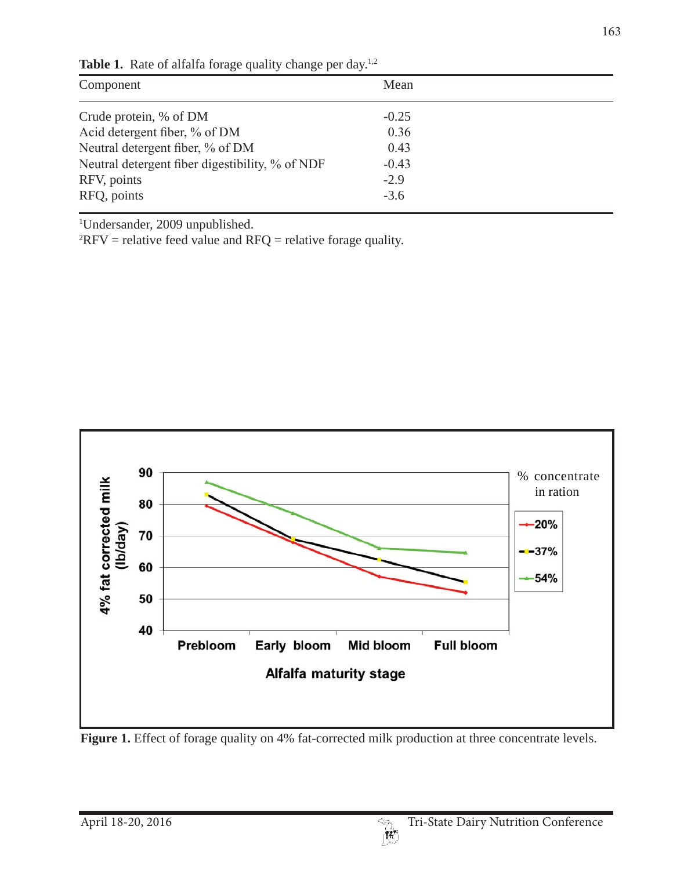| Component                                       | Mean    |  |
|-------------------------------------------------|---------|--|
| Crude protein, % of DM                          | $-0.25$ |  |
| Acid detergent fiber, % of DM                   | 0.36    |  |
| Neutral detergent fiber, % of DM                | 0.43    |  |
| Neutral detergent fiber digestibility, % of NDF | $-0.43$ |  |
| RFV, points                                     | $-2.9$  |  |
| RFQ, points                                     | $-3.6$  |  |

Table 1. Rate of alfalfa forage quality change per day.<sup>1,2</sup>

1 Undersander, 2009 unpublished.

 ${}^{2}$ RFV = relative feed value and RFQ = relative forage quality.



Figure 1. Effect of forage quality on 4% fat-corrected milk production at three concentrate levels.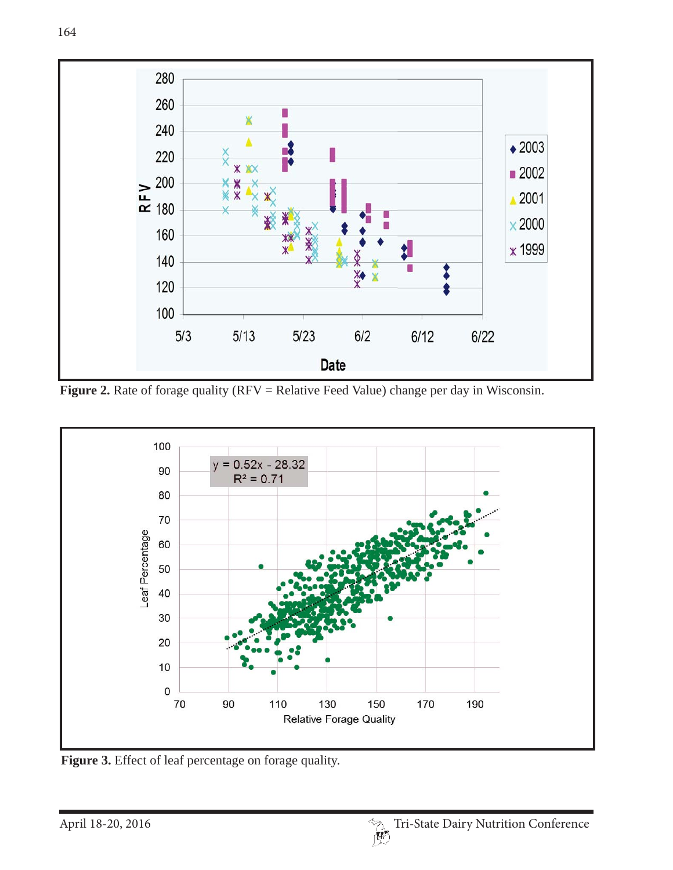

**Figure 2.** Rate of forage quality (RFV = Relative Feed Value) change per day in Wisconsin.



Figure 3. Effect of leaf percentage on forage quality.